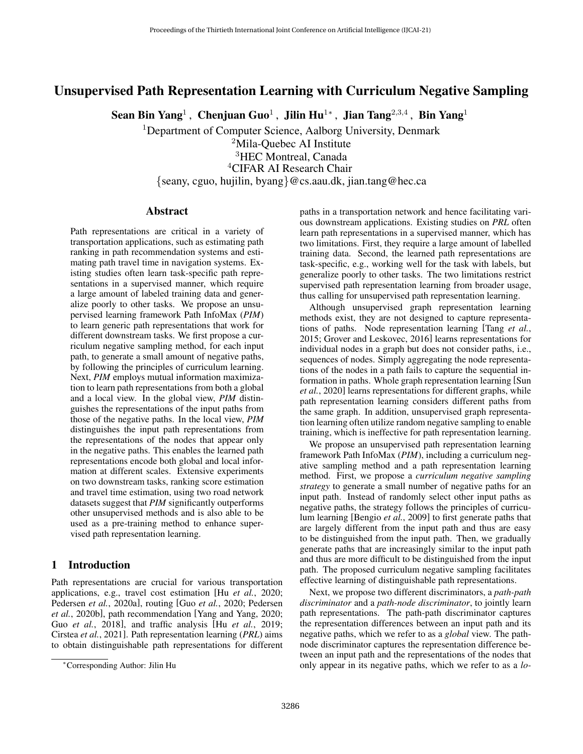# Unsupervised Path Representation Learning with Curriculum Negative Sampling

Sean Bin Yang $^1$ , Chenjuan Guo $^1$ , Jilin Hu $^{1*}$ , Jian Tang $^{2,3,4}$ , Bin Yang $^1$ 

<sup>1</sup>Department of Computer Science, Aalborg University, Denmark

<sup>2</sup>Mila-Quebec AI Institute

<sup>3</sup>HEC Montreal, Canada

<sup>4</sup>CIFAR AI Research Chair

{seany, cguo, hujilin, byang}@cs.aau.dk, jian.tang@hec.ca

# Abstract

Path representations are critical in a variety of transportation applications, such as estimating path ranking in path recommendation systems and estimating path travel time in navigation systems. Existing studies often learn task-specific path representations in a supervised manner, which require a large amount of labeled training data and generalize poorly to other tasks. We propose an unsupervised learning framework Path InfoMax (*PIM*) to learn generic path representations that work for different downstream tasks. We first propose a curriculum negative sampling method, for each input path, to generate a small amount of negative paths, by following the principles of curriculum learning. Next, *PIM* employs mutual information maximization to learn path representations from both a global and a local view. In the global view, *PIM* distinguishes the representations of the input paths from those of the negative paths. In the local view, *PIM* distinguishes the input path representations from the representations of the nodes that appear only in the negative paths. This enables the learned path representations encode both global and local information at different scales. Extensive experiments on two downstream tasks, ranking score estimation and travel time estimation, using two road network datasets suggest that *PIM* significantly outperforms other unsupervised methods and is also able to be used as a pre-training method to enhance supervised path representation learning.

# 1 Introduction

Path representations are crucial for various transportation applications, e.g., travel cost estimation [Hu *et al.*[, 2020;](#page-6-0) [Pedersen](#page-6-1) *et al.*, 2020a], routing [Guo *et al.*[, 2020;](#page-6-2) [Pedersen](#page-6-3) *et al.*[, 2020b\]](#page-6-3), path recommendation [\[Yang and Yang, 2020;](#page-6-4) Guo *et al.*[, 2018\]](#page-6-5), and traffic analysis [Hu *et al.*[, 2019;](#page-6-6) [Cirstea](#page-6-7) *et al.*, 2021]. Path representation learning (*PRL*) aims to obtain distinguishable path representations for different paths in a transportation network and hence facilitating various downstream applications. Existing studies on *PRL* often learn path representations in a supervised manner, which has two limitations. First, they require a large amount of labelled training data. Second, the learned path representations are task-specific, e.g., working well for the task with labels, but generalize poorly to other tasks. The two limitations restrict supervised path representation learning from broader usage, thus calling for unsupervised path representation learning.

Although unsupervised graph representation learning methods exist, they are not designed to capture representations of paths. Node representation learning [\[Tang](#page-6-8) *et al.*, [2015;](#page-6-8) [Grover and Leskovec, 2016\]](#page-6-9) learns representations for individual nodes in a graph but does not consider paths, i.e., sequences of nodes. Simply aggregating the node representations of the nodes in a path fails to capture the sequential information in paths. Whole graph representation learning [\[Sun](#page-6-10) *et al.*[, 2020\]](#page-6-10) learns representations for different graphs, while path representation learning considers different paths from the same graph. In addition, unsupervised graph representation learning often utilize random negative sampling to enable training, which is ineffective for path representation learning.

We propose an unsupervised path representation learning framework Path InfoMax (*PIM*), including a curriculum negative sampling method and a path representation learning method. First, we propose a *curriculum negative sampling strategy* to generate a small number of negative paths for an input path. Instead of randomly select other input paths as negative paths, the strategy follows the principles of curriculum learning [\[Bengio](#page-6-11) *et al.*, 2009] to first generate paths that are largely different from the input path and thus are easy to be distinguished from the input path. Then, we gradually generate paths that are increasingly similar to the input path and thus are more difficult to be distinguished from the input path. The proposed curriculum negative sampling facilitates effective learning of distinguishable path representations.

Next, we propose two different discriminators, a *path-path discriminator* and a *path-node discriminator*, to jointly learn path representations. The path-path discriminator captures the representation differences between an input path and its negative paths, which we refer to as a *global* view. The pathnode discriminator captures the representation difference between an input path and the representations of the nodes that only appear in its negative paths, which we refer to as a *lo-*

<sup>∗</sup>Corresponding Author: Jilin Hu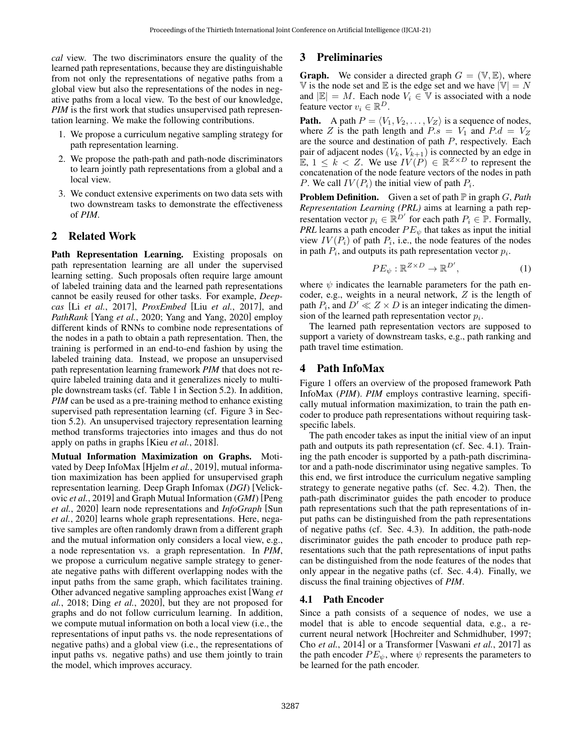*cal* view. The two discriminators ensure the quality of the learned path representations, because they are distinguishable from not only the representations of negative paths from a global view but also the representations of the nodes in negative paths from a local view. To the best of our knowledge, *PIM* is the first work that studies unsupervised path representation learning. We make the following contributions.

- 1. We propose a curriculum negative sampling strategy for path representation learning.
- 2. We propose the path-path and path-node discriminators to learn jointly path representations from a global and a local view.
- 3. We conduct extensive experiments on two data sets with two downstream tasks to demonstrate the effectiveness of *PIM*.

# 2 Related Work

Path Representation Learning. Existing proposals on path representation learning are all under the supervised learning setting. Such proposals often require large amount of labeled training data and the learned path representations cannot be easily reused for other tasks. For example, *Deepcas* [Li *et al.*[, 2017\]](#page-6-12), *ProxEmbed* [Liu *et al.*[, 2017\]](#page-6-13), and *PathRank* [Yang *et al.*[, 2020;](#page-6-14) [Yang and Yang, 2020\]](#page-6-4) employ different kinds of RNNs to combine node representations of the nodes in a path to obtain a path representation. Then, the training is performed in an end-to-end fashion by using the labeled training data. Instead, we propose an unsupervised path representation learning framework *PIM* that does not require labeled training data and it generalizes nicely to multiple downstream tasks (cf. Table [1](#page-4-0) in Section [5.2\)](#page-4-1). In addition, *PIM* can be used as a pre-training method to enhance existing supervised path representation learning (cf. Figure [3](#page-5-0) in Section [5.2\)](#page-4-2). An unsupervised trajectory representation learning method transforms trajectories into images and thus do not apply on paths in graphs [Kieu *et al.*[, 2018\]](#page-6-15).

Mutual Information Maximization on Graphs. Motivated by Deep InfoMax [\[Hjelm](#page-6-16) *et al.*, 2019], mutual information maximization has been applied for unsupervised graph representation learning. Deep Graph Infomax (*DGI*) [\[Velick](#page-6-17)ovic *et al.*[, 2019\]](#page-6-17) and Graph Mutual Information (*GMI*) [\[Peng](#page-6-18) *et al.*[, 2020\]](#page-6-18) learn node representations and *InfoGraph* [\[Sun](#page-6-10) *et al.*[, 2020\]](#page-6-10) learns whole graph representations. Here, negative samples are often randomly drawn from a different graph and the mutual information only considers a local view, e.g., a node representation vs. a graph representation. In *PIM*, we propose a curriculum negative sample strategy to generate negative paths with different overlapping nodes with the input paths from the same graph, which facilitates training. Other advanced negative sampling approaches exist [\[Wang](#page-6-19) *et al.*[, 2018;](#page-6-19) Ding *et al.*[, 2020\]](#page-6-20), but they are not proposed for graphs and do not follow curriculum learning. In addition, we compute mutual information on both a local view (i.e., the representations of input paths vs. the node representations of negative paths) and a global view (i.e., the representations of input paths vs. negative paths) and use them jointly to train the model, which improves accuracy.

# 3 Preliminaries

**Graph.** We consider a directed graph  $G = (\mathbb{V}, \mathbb{E})$ , where  $\mathbb V$  is the node set and  $\mathbb E$  is the edge set and we have  $|\mathbb V|=N$ and  $|\mathbb{E}| = M$ . Each node  $V_i \in \mathbb{V}$  is associated with a node feature vector  $v_i \in \mathbb{R}^D$ .

**Path.** A path  $P = \langle V_1, V_2, \dots, V_Z \rangle$  is a sequence of nodes, where Z is the path length and  $P.s = V_1$  and  $P.d = V_Z$ are the source and destination of path P, respectively. Each pair of adjacent nodes  $(V_k, V_{k+1})$  is connected by an edge in E,  $1 \leq \tilde{k} < Z$ . We use  $IV(P) \in \mathbb{R}^{Z \times D}$  to represent the concatenation of the node feature vectors of the nodes in path P. We call  $IV(P_i)$  the initial view of path  $P_i$ .

**Problem Definition.** Given a set of path  $\mathbb P$  in graph G, Path *Representation Learning (PRL)* aims at learning a path representation vector  $p_i \in \mathbb{R}^{D'}$  for each path  $P_i \in \mathbb{P}$ . Formally, *PRL* learns a path encoder  $PE_{\psi}$  that takes as input the initial view  $IV(P_i)$  of path  $P_i$ , i.e., the node features of the nodes in path  $P_i$ , and outputs its path representation vector  $p_i$ .

$$
PE_{\psi}: \mathbb{R}^{Z \times D} \to \mathbb{R}^{D'}, \tag{1}
$$

where  $\psi$  indicates the learnable parameters for the path encoder, e.g., weights in a neural network, Z is the length of path  $P_i$ , and  $D' \ll Z \times D$  is an integer indicating the dimension of the learned path representation vector  $p_i$ .

The learned path representation vectors are supposed to support a variety of downstream tasks, e.g., path ranking and path travel time estimation.

# 4 Path InfoMax

Figure [1](#page-2-0) offers an overview of the proposed framework Path InfoMax (*PIM*). *PIM* employs contrastive learning, specifically mutual information maximization, to train the path encoder to produce path representations without requiring taskspecific labels.

The path encoder takes as input the initial view of an input path and outputs its path representation (cf. Sec. [4.1\)](#page-1-0). Training the path encoder is supported by a path-path discriminator and a path-node discriminator using negative samples. To this end, we first introduce the curriculum negative sampling strategy to generate negative paths (cf. Sec. [4.2\)](#page-2-1). Then, the path-path discriminator guides the path encoder to produce path representations such that the path representations of input paths can be distinguished from the path representations of negative paths (cf. Sec. [4.3\)](#page-2-2). In addition, the path-node discriminator guides the path encoder to produce path representations such that the path representations of input paths can be distinguished from the node features of the nodes that only appear in the negative paths (cf. Sec. [4.4\)](#page-3-0). Finally, we discuss the final training objectives of *PIM*.

# <span id="page-1-0"></span>4.1 Path Encoder

Since a path consists of a sequence of nodes, we use a model that is able to encode sequential data, e.g., a recurrent neural network [\[Hochreiter and Schmidhuber, 1997;](#page-6-21) Cho *et al.*[, 2014\]](#page-6-22) or a Transformer [\[Vaswani](#page-6-23) *et al.*, 2017] as the path encoder  $PE_{\psi}$ , where  $\psi$  represents the parameters to be learned for the path encoder.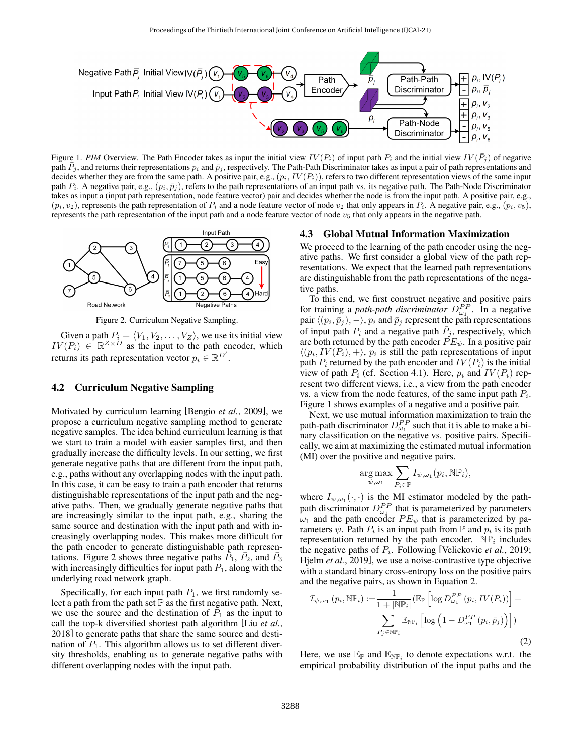<span id="page-2-0"></span>

Figure 1. *PIM* Overview. The Path Encoder takes as input the initial view  $IV(P_i)$  of input path  $P_i$  and the initial view  $IV(\bar{P}_j)$  of negative path  $\bar{P}_j$ , and returns their representations  $p_i$  and  $\bar{p}_j$ , respectively. The Path-Path Discriminator takes as input a pair of path representations and decides whether they are from the same path. A positive pair, e.g.,  $(p_i, IV(P_i))$ , refers to two different representation views of the same input path  $P_i$ . A negative pair, e.g.,  $(p_i, \bar{p}_j)$ , refers to the path representations of an input path vs. its negative path. The Path-Node Discriminator takes as input a (input path representation, node feature vector) pair and decides whether the node is from the input path. A positive pair, e.g.,  $(p_i, v_2)$ , represents the path representation of  $P_i$  and a node feature vector of node  $v_2$  that only appears in  $P_i$ . A negative pair, e.g.,  $(p_i, v_5)$ , represents the path representation of the input path and a node feature vector of node  $v<sub>5</sub>$  that only appears in the negative path.

<span id="page-2-3"></span>

Figure 2. Curriculum Negative Sampling.

Given a path  $P_i = \langle V_1, V_2, \ldots, V_Z \rangle$ , we use its initial view  $IV(P_i) \in \mathbb{R}^{Z \times D}$  as the input to the path encoder, which returns its path representation vector  $p_i \in \mathbb{R}^{D'}$ .

# <span id="page-2-1"></span>4.2 Curriculum Negative Sampling

Motivated by curriculum learning [\[Bengio](#page-6-11) *et al.*, 2009], we propose a curriculum negative sampling method to generate negative samples. The idea behind curriculum learning is that we start to train a model with easier samples first, and then gradually increase the difficulty levels. In our setting, we first generate negative paths that are different from the input path, e.g., paths without any overlapping nodes with the input path. In this case, it can be easy to train a path encoder that returns distinguishable representations of the input path and the negative paths. Then, we gradually generate negative paths that are increasingly similar to the input path, e.g., sharing the same source and destination with the input path and with increasingly overlapping nodes. This makes more difficult for the path encoder to generate distinguishable path represen-tations. Figure [2](#page-2-3) shows three negative paths  $\overline{P}_1$ ,  $\overline{P}_2$ , and  $\overline{P}_3$ with increasingly difficulties for input path  $P_1$ , along with the underlying road network graph.

Specifically, for each input path  $P_1$ , we first randomly select a path from the path set  $\mathbb P$  as the first negative path. Next, we use the source and the destination of  $P_1$  as the input to call the top-k diversified shortest path algorithm [Liu *[et al.](#page-6-24)*, [2018\]](#page-6-24) to generate paths that share the same source and destination of  $P_1$ . This algorithm allows us to set different diversity thresholds, enabling us to generate negative paths with different overlapping nodes with the input path.

# <span id="page-2-2"></span>4.3 Global Mutual Information Maximization

We proceed to the learning of the path encoder using the negative paths. We first consider a global view of the path representations. We expect that the learned path representations are distinguishable from the path representations of the negative paths.

To this end, we first construct negative and positive pairs for training a *path-path discriminator*  $D_{\omega_1}^{PP}$ . In a negative pair  $\langle (p_i, \bar{p}_j), - \rangle$ ,  $p_i$  and  $\bar{p}_j$  represent the path representations of input path  $P_i$  and a negative path  $\bar{P}_j$ , respectively, which are both returned by the path encoder  $PE_{\psi}$ . In a positive pair  $\langle (p_i, IV(P_i), + \rangle, p_i \rangle$  is still the path representations of input path  $P_i$  returned by the path encoder and  $IV(P_i)$  is the initial view of path  $P_i$  (cf. Section [4.1\)](#page-1-0). Here,  $p_i$  and  $IV(P_i)$  represent two different views, i.e., a view from the path encoder vs. a view from the node features, of the same input path  $P_i$ . Figure [1](#page-2-0) shows examples of a negative and a positive pair.

Next, we use mutual information maximization to train the path-path discriminator  $D_{\omega_1}^{PP}$  such that it is able to make a binary classification on the negative vs. positive pairs. Specifically, we aim at maximizing the estimated mutual information (MI) over the positive and negative pairs.

$$
\underset{\psi,\omega_1}{\arg\max} \sum_{P_i \in \mathbb{P}} I_{\psi,\omega_1}(p_i,\mathbb{NP}_i),
$$

where  $I_{\psi,\omega_1}(\cdot,\cdot)$  is the MI estimator modeled by the pathpath discriminator  $D_{\omega_1}^{PP}$  that is parameterized by parameters  $\omega_1$  and the path encoder  $PE_{\psi}$  that is parameterized by parameters  $\psi$ . Path  $P_i$  is an input path from  $\mathbb P$  and  $p_i$  is its path representation returned by the path encoder.  $\overrightarrow{NP}_i$  includes the negative paths of  $P_i$ . Following [\[Velickovic](#page-6-17) *et al.*, 2019; Hjelm *et al.*[, 2019\]](#page-6-16), we use a noise-contrastive type objective with a standard binary cross-entropy loss on the positive pairs and the negative pairs, as shown in Equation [2.](#page-2-4)

<span id="page-2-4"></span>
$$
\mathcal{I}_{\psi,\omega_1}(p_i, \mathbb{NP}_i) := \frac{1}{1 + |\mathbb{NP}_i|} (\mathbb{E}_{\mathbb{P}} \left[ \log D_{\omega_1}^{PP} (p_i, IV(P_i)) \right] + \sum_{\bar{P}_j \in \mathbb{NP}_i} \mathbb{E}_{\mathbb{NP}_i} \left[ \log \left( 1 - D_{\omega_1}^{PP} (p_i, \bar{p}_j) \right) \right] )
$$
\n(2)

Here, we use  $\mathbb{E}_{\mathbb{P}}$  and  $\mathbb{E}_{\mathbb{NP}_i}$  to denote expectations w.r.t. the empirical probability distribution of the input paths and the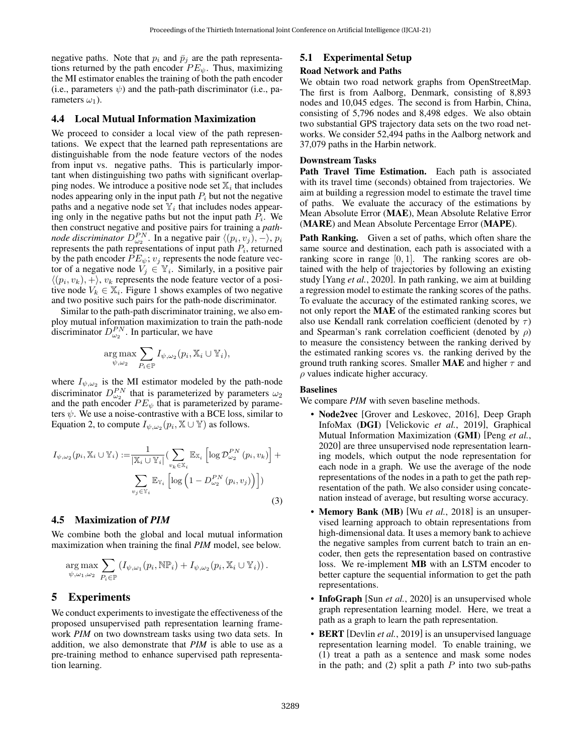negative paths. Note that  $p_i$  and  $\bar{p}_j$  are the path representations returned by the path encoder  $PE_{\psi}$ . Thus, maximizing the MI estimator enables the training of both the path encoder (i.e., parameters  $\psi$ ) and the path-path discriminator (i.e., parameters  $\omega_1$ ).

## <span id="page-3-0"></span>4.4 Local Mutual Information Maximization

We proceed to consider a local view of the path representations. We expect that the learned path representations are distinguishable from the node feature vectors of the nodes from input vs. negative paths. This is particularly important when distinguishing two paths with significant overlapping nodes. We introduce a positive node set  $\mathbb{X}_i$  that includes nodes appearing only in the input path  $P_i$  but not the negative paths and a negative node set  $\mathbb{Y}_i$  that includes nodes appearing only in the negative paths but not the input path  $P_i$ . We then construct negative and positive pairs for training a *pathnode discriminator*  $D_{\omega_2}^{PN}$ . In a negative pair  $\langle (p_i, v_j), - \rangle$ ,  $p_i$ represents the path representations of input path  $P_i$ , returned by the path encoder  $PE_{\psi}$ ;  $v_j$  represents the node feature vector of a negative node  $V_j \in \mathbb{Y}_i$ . Similarly, in a positive pair  $\langle (p_i, v_k), + \rangle$ ,  $v_k$  represents the node feature vector of a positive node  $V_k \in \mathbb{X}_i$ . Figure [1](#page-2-0) shows examples of two negative and two positive such pairs for the path-node discriminator.

Similar to the path-path discriminator training, we also employ mutual information maximization to train the path-node discriminator  $D_{\omega_2}^{PN}$ . In particular, we have

$$
\underset{\psi,\omega_2}{\arg\max} \sum_{P_i\in \mathbb{P}} I_{\psi,\omega_2}(p_i,\mathbb{X}_i\cup \mathbb{Y}_i),
$$

where  $I_{\psi,\omega_2}$  is the MI estimator modeled by the path-node discriminator  $D_{\omega_2}^{PN}$  that is parameterized by parameters  $\omega_2$ and the path encoder  $PE_{\psi}$  that is parameterized by parameters  $\psi$ . We use a noise-contrastive with a BCE loss, similar to Equation [2,](#page-2-4) to compute  $I_{\psi,\omega_2}(p_i,\mathbb{X}\cup\mathbb{Y})$  as follows.

$$
I_{\psi,\omega_2}(p_i, \mathbb{X}_i \cup \mathbb{Y}_i) := \frac{1}{|\mathbb{X}_i \cup \mathbb{Y}_i|} \left( \sum_{v_k \in \mathbb{X}_i} \mathbb{E}_{\mathbb{X}_i} \left[ \log \mathcal{D}_{\omega_2}^{PN}(p_i, v_k) \right] + \sum_{v_j \in \mathbb{Y}_i} \mathbb{E}_{\mathbb{Y}_i} \left[ \log \left( 1 - D_{\omega_2}^{PN}(p_i, v_j) \right) \right] \right)
$$
\n(3)

### 4.5 Maximization of *PIM*

We combine both the global and local mutual information maximization when training the final *PIM* model, see below.

$$
\underset{\psi,\omega_1,\omega_2}{\arg\max} \sum_{P_i\in\mathbb{P}} \left( I_{\psi,\omega_1}(p_i,\mathbb{NP}_i) + I_{\psi,\omega_2}(p_i,\mathbb{X}_i\cup\mathbb{Y}_i) \right).
$$

# 5 Experiments

We conduct experiments to investigate the effectiveness of the proposed unsupervised path representation learning framework *PIM* on two downstream tasks using two data sets. In addition, we also demonstrate that *PIM* is able to use as a pre-training method to enhance supervised path representation learning.

# 5.1 Experimental Setup

#### Road Network and Paths

We obtain two road network graphs from OpenStreetMap. The first is from Aalborg, Denmark, consisting of 8,893 nodes and 10,045 edges. The second is from Harbin, China, consisting of 5,796 nodes and 8,498 edges. We also obtain two substantial GPS trajectory data sets on the two road networks. We consider 52,494 paths in the Aalborg network and 37,079 paths in the Harbin network.

## Downstream Tasks

Path Travel Time Estimation. Each path is associated with its travel time (seconds) obtained from trajectories. We aim at building a regression model to estimate the travel time of paths. We evaluate the accuracy of the estimations by Mean Absolute Error (MAE), Mean Absolute Relative Error (MARE) and Mean Absolute Percentage Error (MAPE).

Path Ranking. Given a set of paths, which often share the same source and destination, each path is associated with a ranking score in range  $[0, 1]$ . The ranking scores are obtained with the help of trajectories by following an existing study [Yang *et al.*[, 2020\]](#page-6-14). In path ranking, we aim at building a regression model to estimate the ranking scores of the paths. To evaluate the accuracy of the estimated ranking scores, we not only report the MAE of the estimated ranking scores but also use Kendall rank correlation coefficient (denoted by  $\tau$ ) and Spearman's rank correlation coefficient (denoted by  $\rho$ ) to measure the consistency between the ranking derived by the estimated ranking scores vs. the ranking derived by the ground truth ranking scores. Smaller **MAE** and higher  $\tau$  and  $\rho$  values indicate higher accuracy.

#### Baselines

We compare *PIM* with seven baseline methods.

- **Node2vec** [\[Grover and Leskovec, 2016\]](#page-6-9), Deep Graph InfoMax (DGI) [\[Velickovic](#page-6-17) *et al.*, 2019], Graphical Mutual Information Maximization (GMI) [\[Peng](#page-6-18) *et al.*, [2020\]](#page-6-18) are three unsupervised node representation learning models, which output the node representation for each node in a graph. We use the average of the node representations of the nodes in a path to get the path representation of the path. We also consider using concatenation instead of average, but resulting worse accuracy.
- **Memory Bank (MB)** [Wu *et al.*[, 2018\]](#page-6-25) is an unsupervised learning approach to obtain representations from high-dimensional data. It uses a memory bank to achieve the negative samples from current batch to train an encoder, then gets the representation based on contrastive loss. We re-implement MB with an LSTM encoder to better capture the sequential information to get the path representations.
- InfoGraph [Sun *et al.*[, 2020\]](#page-6-10) is an unsupervised whole graph representation learning model. Here, we treat a path as a graph to learn the path representation.
- BERT [\[Devlin](#page-6-26) *et al.*, 2019] is an unsupervised language representation learning model. To enable training, we (1) treat a path as a sentence and mask some nodes in the path; and  $(2)$  split a path P into two sub-paths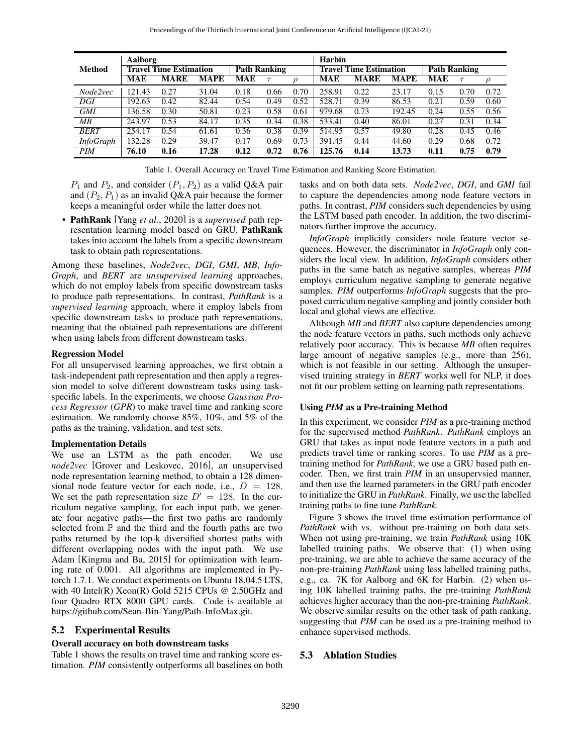<span id="page-4-0"></span>

|                  | Aalborg |                               |       |                     |      |        | Harbin |                               |        |                     |        |        |
|------------------|---------|-------------------------------|-------|---------------------|------|--------|--------|-------------------------------|--------|---------------------|--------|--------|
| <b>Method</b>    |         | <b>Travel Time Estimation</b> |       | <b>Path Ranking</b> |      |        |        | <b>Travel Time Estimation</b> |        | <b>Path Ranking</b> |        |        |
|                  | MAE     | MARE                          | MAPE  | MAE                 |      | $\rho$ | MAE    | MARE                          | MAPE   | MAE                 | $\tau$ | $\rho$ |
| Node2vec         | 121.43  | 0.27                          | 31.04 | 0.18                | 0.66 | 0.70   | 258.91 | 0.22                          | 23.17  | 0.15                | 0.70   | 0.72   |
| DGI              | 192.63  | 0.42                          | 82.44 | 0.54                | 0.49 | 0.52   | 528.71 | 0.39                          | 86.53  | 0.21                | 0.59   | 0.60   |
| <b>GMI</b>       | 136.58  | 0.30                          | 50.81 | 0.23                | 0.58 | 0.61   | 979.68 | 0.73                          | 192.45 | 0.24                | 0.55   | 0.56   |
| MB               | 243.97  | 0.53                          | 84.17 | 0.35                | 0.34 | 0.38   | 533.41 | 0.40                          | 86.01  | 0.27                | 0.31   | 0.34   |
| <b>BERT</b>      | 254.17  | 0.54                          | 61.61 | 0.36                | 0.38 | 0.39   | 514.95 | 0.57                          | 49.80  | 0.28                | 0.45   | 0.46   |
| <b>InfoGraph</b> | 132.28  | 0.29                          | 39.47 | 0.17                | 0.69 | 0.73   | 391.45 | 0.44                          | 44.60  | 0.29                | 0.68   | 0.72   |
| <b>PIM</b>       | 76.10   | 0.16                          | 17.28 | 0.12                | 0.72 | 0.76   | 125.76 | 0.14                          | 13.73  | 0.11                | 0.75   | 0.79   |

Table 1. Overall Accuracy on Travel Time Estimation and Ranking Score Estimation.

 $P_1$  and  $P_2$ , and consider  $(P_1, P_2)$  as a valid Q&A pair and  $(P_2, P_1)$  as an invalid Q&A pair because the former keeps a meaningful order while the latter does not.

• PathRank [Yang *et al.*[, 2020\]](#page-6-14) is a *supervised* path representation learning model based on GRU. PathRank takes into account the labels from a specific downstream task to obtain path representations.

Among these baselines, *Node2vec*, *DGI*, *GMI*, *MB*, *Info-Graph*, and *BERT* are *unsupervised learning* approaches, which do not employ labels from specific downstream tasks to produce path representations. In contrast, *PathRank* is a *supervised learning* approach, where it employ labels from specific downstream tasks to produce path representations, meaning that the obtained path representations are different when using labels from different downstream tasks.

#### Regression Model

For all unsupervised learning approaches, we first obtain a task-independent path representation and then apply a regression model to solve different downstream tasks using taskspecific labels. In the experiments, we choose *Gaussian Process Regressor* (*GPR*) to make travel time and ranking score estimation. We randomly choose 85%, 10%, and 5% of the paths as the training, validation, and test sets.

#### Implementation Details

We use an LSTM as the path encoder. We use *node2vec* [\[Grover and Leskovec, 2016\]](#page-6-9), an unsupervised node representation learning method, to obtain a 128 dimensional node feature vector for each node, i.e.,  $D = 128$ . We set the path representation size  $D' = 128$ . In the curriculum negative sampling, for each input path, we generate four negative paths—the first two paths are randomly selected from  $P$  and the third and the fourth paths are two paths returned by the top-k diversified shortest paths with different overlapping nodes with the input path. We use Adam [\[Kingma and Ba, 2015\]](#page-6-27) for optimization with learning rate of 0.001. All algorithms are implemented in Pytorch 1.7.1. We conduct experiments on Ubuntu 18.04.5 LTS, with 40 Intel(R) Xeon(R) Gold 5215 CPUs @ 2.50GHz and four Quadro RTX 8000 GPU cards. Code is available at [https://github.com/Sean-Bin-Yang/Path-InfoMax.git.](https://github.com/Sean-Bin-Yang/Path-InfoMax.git)

### 5.2 Experimental Results

## <span id="page-4-1"></span>Overall accuracy on both downstream tasks

Table [1](#page-4-0) shows the results on travel time and ranking score estimation. *PIM* consistently outperforms all baselines on both tasks and on both data sets. *Node2vec*, *DGI*, and *GMI* fail to capture the dependencies among node feature vectors in paths. In contrast, *PIM* considers such dependencies by using the LSTM based path encoder. In addition, the two discriminators further improve the accuracy.

*InfoGraph* implicitly considers node feature vector sequences. However, the discriminator in *InfoGraph* only considers the local view. In addition, *InfoGraph* considers other paths in the same batch as negative samples, whereas *PIM* employs curriculum negative sampling to generate negative samples. *PIM* outperforms *InfoGraph* suggests that the proposed curriculum negative sampling and jointly consider both local and global views are effective.

Although *MB* and *BERT* also capture dependencies among the node feature vectors in paths, such methods only achieve relatively poor accuracy. This is because *MB* often requires large amount of negative samples (e.g., more than 256), which is not feasible in our setting. Although the unsupervised training strategy in *BERT* works well for NLP, it does not fit our problem setting on learning path representations.

## <span id="page-4-2"></span>Using *PIM* as a Pre-training Method

In this experiment, we consider *PIM* as a pre-training method for the supervised method *PathRank*. *PathRank* employs an GRU that takes as input node feature vectors in a path and predicts travel time or ranking scores. To use *PIM* as a pretraining method for *PathRank*, we use a GRU based path encoder. Then, we first train *PIM* in an unsupervsied manner, and then use the learned parameters in the GRU path encoder to initialize the GRU in *PathRank*. Finally, we use the labelled training paths to fine tune *PathRank*.

Figure [3](#page-5-0) shows the travel time estimation performance of *PathRank* with vs. without pre-training on both data sets. When not using pre-training, we train *PathRank* using 10K labelled training paths. We observe that: (1) when using pre-training, we are able to achieve the same accuracy of the non-pre-training *PathRank* using less labelled training paths, e.g., ca. 7K for Aalborg and 6K for Harbin. (2) when using 10K labelled training paths, the pre-training *PathRank* achieves higher accuracy than the non-pre-training *PathRank*. We observe similar results on the other task of path ranking, suggesting that *PIM* can be used as a pre-training method to enhance supervised methods.

## 5.3 Ablation Studies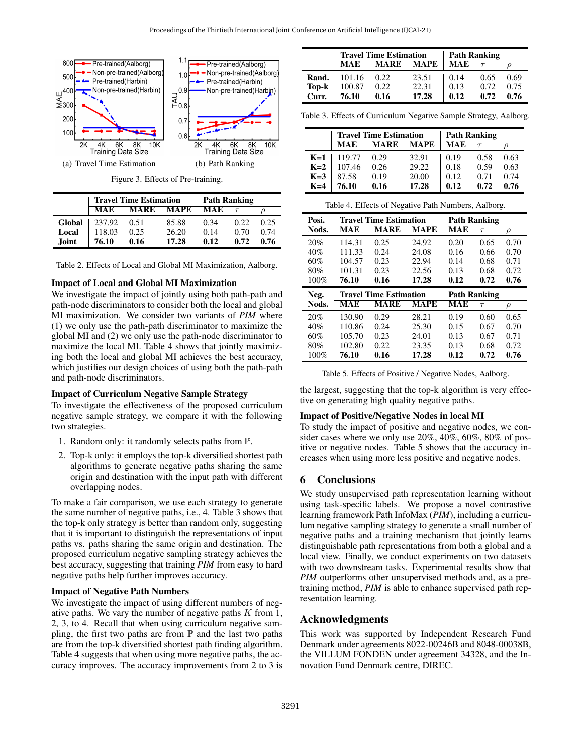<span id="page-5-0"></span>

Figure 3. Effects of Pre-training.

|              | <b>Travel Time Estimation</b> | <b>Path Ranking</b> |             |            |      |      |
|--------------|-------------------------------|---------------------|-------------|------------|------|------|
|              | <b>MAE</b>                    | <b>MARE</b>         | <b>MAPE</b> | <b>MAE</b> |      |      |
| Global       | 237.92                        | 0.51                | 85.88       | 0.34       | 0.22 | 0.25 |
| Local        | 118.03                        | 0.25                | 26.20       | 0.14       | 0.70 | 0.74 |
| <b>Joint</b> | 76.10                         | 0.16                | 17.28       | 012        | 0.72 | 0.76 |

Table 2. Effects of Local and Global MI Maximization, Aalborg.

#### Impact of Local and Global MI Maximization

We investigate the impact of jointly using both path-path and path-node discriminators to consider both the local and global MI maximization. We consider two variants of *PIM* where (1) we only use the path-path discriminator to maximize the global MI and (2) we only use the path-node discriminator to maximize the local MI. Table [4](#page-5-1) shows that jointly maximizing both the local and global MI achieves the best accuracy, which justifies our design choices of using both the path-path and path-node discriminators.

#### Impact of Curriculum Negative Sample Strategy

To investigate the effectiveness of the proposed curriculum negative sample strategy, we compare it with the following two strategies.

- 1. Random only: it randomly selects paths from P.
- 2. Top-k only: it employs the top-k diversified shortest path algorithms to generate negative paths sharing the same origin and destination with the input path with different overlapping nodes.

To make a fair comparison, we use each strategy to generate the same number of negative paths, i.e., 4. Table [3](#page-5-2) shows that the top-k only strategy is better than random only, suggesting that it is important to distinguish the representations of input paths vs. paths sharing the same origin and destination. The proposed curriculum negative sampling strategy achieves the best accuracy, suggesting that training *PIM* from easy to hard negative paths help further improves accuracy.

# Impact of Negative Path Numbers

We investigate the impact of using different numbers of negative paths. We vary the number of negative paths  $K$  from 1, 2, 3, to 4. Recall that when using curriculum negative sampling, the first two paths are from  $P$  and the last two paths are from the top-k diversified shortest path finding algorithm. Table [4](#page-5-1) suggests that when using more negative paths, the accuracy improves. The accuracy improvements from 2 to 3 is

<span id="page-5-2"></span>

|       | <b>Travel Time Estimation</b> | <b>Path Ranking</b> |             |      |      |      |
|-------|-------------------------------|---------------------|-------------|------|------|------|
|       | <b>MAE</b>                    | <b>MARE</b>         | <b>MAPE</b> | MAE  |      |      |
| Rand. | 101.16                        | 0.22                | 23.51       | 0.14 | 0.65 | 0.69 |
| Top-k | 100.87                        | 0.22                | 22.31       | 0.13 | 0.72 | 0.75 |
| Curr. | 76.10                         | 0.16                | 17.28       | 0.12 | 0.72 | 0.76 |

Table 3. Effects of Curriculum Negative Sample Strategy, Aalborg.

<span id="page-5-1"></span>

|                | <b>Travel Time Estimation</b> | <b>Path Ranking</b> |             |      |      |      |
|----------------|-------------------------------|---------------------|-------------|------|------|------|
|                | <b>MAE</b>                    | <b>MARE</b>         | <b>MAPE</b> | MAE  |      |      |
| $K=1$          | 119.77                        | 0.29                | 32.91       | 0.19 | 0.58 | 0.63 |
| $K=2$          | 107.46                        | 0.26                | 29.22       | 0.18 | 0.59 | 0.63 |
| $K=3$<br>$K=4$ | 87.58                         | 0.19                | 20.00       | 0.12 | 0.71 | 0.74 |
|                | 76.10                         | 0.16                | 17.28       | 0.12 | 0.72 | 0.76 |

<span id="page-5-3"></span>

| Table 4. Effects of Negative Path Numbers, Aalborg. |        |                               |       |                     |                     |        |  |  |
|-----------------------------------------------------|--------|-------------------------------|-------|---------------------|---------------------|--------|--|--|
| Posi.                                               |        | <b>Travel Time Estimation</b> |       | <b>Path Ranking</b> |                     |        |  |  |
| Nods.                                               | MAE    | <b>MARE</b>                   | MAPE  | <b>MAE</b>          | $\tau$              | ρ      |  |  |
| 20%                                                 | 114.31 | 0.25                          | 24.92 | 0.20                | 0.65                | 0.70   |  |  |
| 40%                                                 | 111.33 | 0.24                          | 24.08 | 0.16                | 0.66                | 0.70   |  |  |
| 60%                                                 | 104.57 | 0.23                          | 22.94 | 0.14                | 0.68                | 0.71   |  |  |
| 80%                                                 | 101.31 | 0.23                          | 22.56 | 0.13                | 0.68                | 0.72   |  |  |
| 100%                                                | 76.10  | 0.16                          | 17.28 | 0.12                | 0.72                | 0.76   |  |  |
|                                                     |        |                               |       |                     |                     |        |  |  |
| Neg.                                                |        | <b>Travel Time Estimation</b> |       |                     | <b>Path Ranking</b> |        |  |  |
| Nods.                                               | MAE    | <b>MARE</b>                   | MAPE  | <b>MAE</b>          | $\tau$              | $\rho$ |  |  |
| 20%                                                 | 130.90 | 0.29                          | 28.21 | 0.19                | 0.60                | 0.65   |  |  |
| 40%                                                 | 110.86 | 0.24                          | 25.30 | 0.15                | 0.67                | 0.70   |  |  |
| 60%                                                 | 105.70 | 0.23                          | 24.01 | 0.13                | 0.67                | 0.71   |  |  |
| 80%                                                 | 102.80 | 0.22                          | 23.35 | 0.13                | 0.68                | 0.72   |  |  |

Table 5. Effects of Positive / Negative Nodes, Aalborg.

the largest, suggesting that the top-k algorithm is very effective on generating high quality negative paths.

#### Impact of Positive/Negative Nodes in local MI

To study the impact of positive and negative nodes, we consider cases where we only use 20%, 40%, 60%, 80% of positive or negative nodes. Table [5](#page-5-3) shows that the accuracy increases when using more less positive and negative nodes.

## 6 Conclusions

We study unsupervised path representation learning without using task-specific labels. We propose a novel contrastive learning framework Path InfoMax (*PIM*), including a curriculum negative sampling strategy to generate a small number of negative paths and a training mechanism that jointly learns distinguishable path representations from both a global and a local view. Finally, we conduct experiments on two datasets with two downstream tasks. Experimental results show that *PIM* outperforms other unsupervised methods and, as a pretraining method, *PIM* is able to enhance supervised path representation learning.

# Acknowledgments

This work was supported by Independent Research Fund Denmark under agreements 8022-00246B and 8048-00038B, the VILLUM FONDEN under agreement 34328, and the Innovation Fund Denmark centre, DIREC.